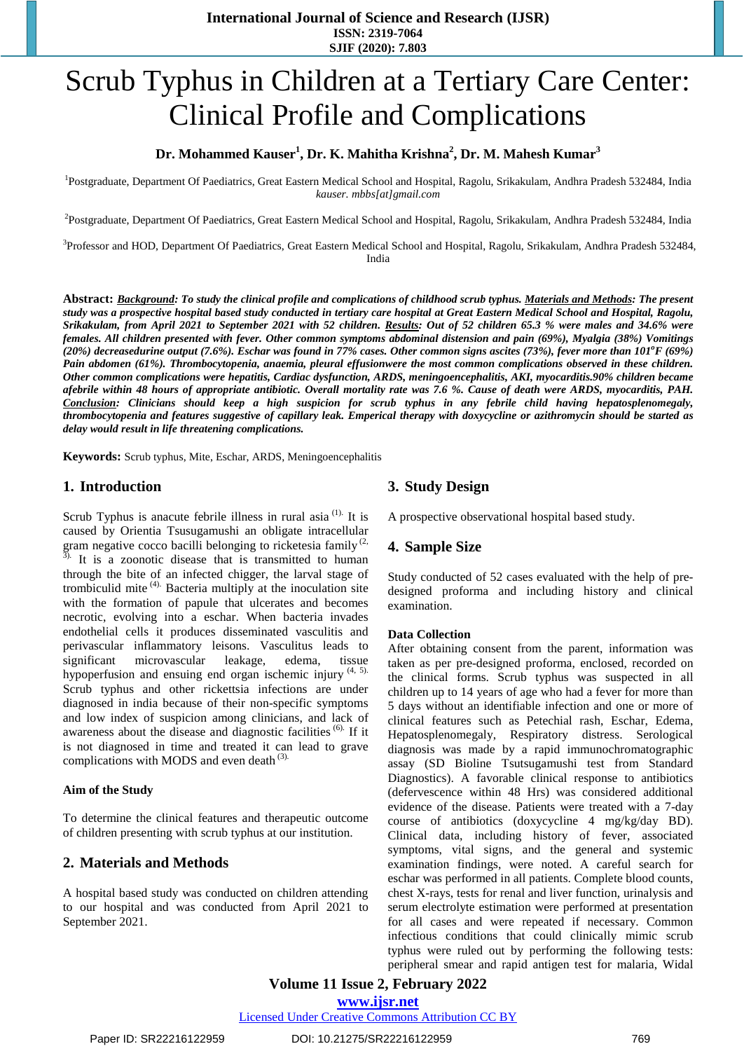# Scrub Typhus in Children at a Tertiary Care Center: Clinical Profile and Complications

# **Dr. Mohammed Kauser<sup>1</sup> , Dr. K. Mahitha Krishna<sup>2</sup> , Dr. M. Mahesh Kumar<sup>3</sup>**

<sup>1</sup>Postgraduate, Department Of Paediatrics, Great Eastern Medical School and Hospital, Ragolu, Srikakulam, Andhra Pradesh 532484, India *kauser. mbbs[at]gmail.com*

2 Postgraduate, Department Of Paediatrics, Great Eastern Medical School and Hospital, Ragolu, Srikakulam, Andhra Pradesh 532484, India

<sup>3</sup>Professor and HOD, Department Of Paediatrics, Great Eastern Medical School and Hospital, Ragolu, Srikakulam, Andhra Pradesh 532484, India

**Abstract:** *Background: To study the clinical profile and complications of childhood scrub typhus. Materials and Methods: The present* study was a prospective hospital based study conducted in tertiary care hospital at Great Eastern Medical School and Hospital, Ragolu, Srikakulam, from April 2021 to September 2021 with 52 children. Results: Out of 52 children 65.3 % were males and 34.6% were *females. All children presented with fever. Other common symptoms abdominal distension and pain (69%), Myalgia (38%) Vomitings* (20%) decreasedurine output (7.6%). Eschar was found in 77% cases. Other common signs ascites (73%), fever more than  $101^{\circ}F$  (69%) *Pain abdomen (61%). Thrombocytopenia, anaemia, pleural effusionwere the most common complications observed in these children. Other common complications were hepatitis, Cardiac dysfunction, ARDS, meningoencephalitis, AKI, myocarditis.90% children became* afebrile within 48 hours of appropriate antibiotic. Overall mortality rate was 7.6 %. Cause of death were ARDS, myocarditis, PAH. *Conclusion: Clinicians should keep a high suspicion for scrub typhus in any febrile child having hepatosplenomegaly,*  thrombocytopenia and features suggestive of capillary leak. Emperical therapy with doxycycline or azithromycin should be started as *delay would result in life threatening complications.*

**Keywords:** Scrub typhus, Mite, Eschar, ARDS, Meningoencephalitis

#### **1. Introduction**

Scrub Typhus is anacute febrile illness in rural asia  $(1)$ . It is caused by Orientia Tsusugamushi an obligate intracellular gram negative cocco bacilli belonging to ricketesia family  $(2, 3)$ . It is a zoonotic disease that is transmitted to human through the bite of an infected chigger, the larval stage of trombiculid mite  $(4)$ . Bacteria multiply at the inoculation site with the formation of papule that ulcerates and becomes necrotic, evolving into a eschar. When bacteria invades endothelial cells it produces disseminated vasculitis and perivascular inflammatory leisons. Vasculitus leads to significant microvascular leakage, edema, tissue hypoperfusion and ensuing end organ ischemic injury (4, 5). Scrub typhus and other rickettsia infections are under diagnosed in india because of their non-specific symptoms and low index of suspicion among clinicians, and lack of awareness about the disease and diagnostic facilities (6). If it is not diagnosed in time and treated it can lead to grave complications with MODS and even death <sup>(3).</sup>

#### **Aim of the Study**

To determine the clinical features and therapeutic outcome of children presenting with scrub typhus at our institution.

#### **2. Materials and Methods**

A hospital based study was conducted on children attending to our hospital and was conducted from April 2021 to September 2021.

# **3. Study Design**

A prospective observational hospital based study.

#### **4. Sample Size**

Study conducted of 52 cases evaluated with the help of predesigned proforma and including history and clinical examination.

#### **Data Collection**

After obtaining consent from the parent, information was taken as per pre-designed proforma, enclosed, recorded on the clinical forms. Scrub typhus was suspected in all children up to 14 years of age who had a fever for more than 5 days without an identifiable infection and one or more of clinical features such as Petechial rash, Eschar, Edema, Hepatosplenomegaly, Respiratory distress. Serological diagnosis was made by a rapid immunochromatographic assay (SD Bioline Tsutsugamushi test from Standard Diagnostics). A favorable clinical response to antibiotics (defervescence within 48 Hrs) was considered additional evidence of the disease. Patients were treated with a 7-day course of antibiotics (doxycycline 4 mg/kg/day BD). Clinical data, including history of fever, associated symptoms, vital signs, and the general and systemic examination findings, were noted. A careful search for eschar was performed in all patients. Complete blood counts, chest X-rays, tests for renal and liver function, urinalysis and serum electrolyte estimation were performed at presentation for all cases and were repeated if necessary. Common infectious conditions that could clinically mimic scrub typhus were ruled out by performing the following tests: peripheral smear and rapid antigen test for malaria, Widal

# **Volume 11 Issue 2, February 2022**

**www.ijsr.net**

Licensed Under Creative Commons Attribution CC BY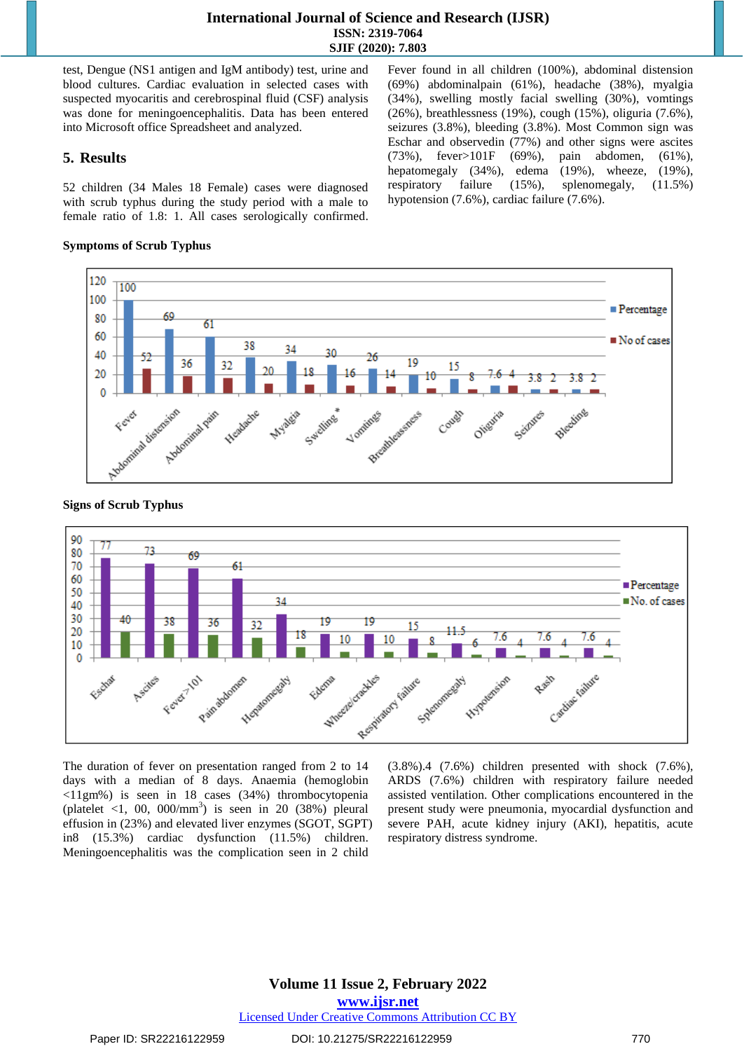#### **International Journal of Science and Research (IJSR) ISSN: 2319-7064 SJIF (2020): 7.803**

test, Dengue (NS1 antigen and IgM antibody) test, urine and blood cultures. Cardiac evaluation in selected cases with suspected myocaritis and cerebrospinal fluid (CSF) analysis was done for meningoencephalitis. Data has been entered into Microsoft office Spreadsheet and analyzed.

#### **5. Results**

52 children (34 Males 18 Female) cases were diagnosed with scrub typhus during the study period with a male to female ratio of 1.8: 1. All cases serologically confirmed.

#### **Symptoms of Scrub Typhus**

Fever found in all children (100%), abdominal distension (69%) abdominalpain (61%), headache (38%), myalgia (34%), swelling mostly facial swelling (30%), vomtings (26%), breathlessness (19%), cough (15%), oliguria (7.6%), seizures (3.8%), bleeding (3.8%). Most Common sign was Eschar and observedin (77%) and other signs were ascites (73%), fever>101F (69%), pain abdomen, (61%), hepatomegaly (34%), edema (19%), wheeze, (19%), respiratory failure (15%), splenomegaly, (11.5%) hypotension (7.6%), cardiac failure (7.6%).



#### **Signs of Scrub Typhus**



The duration of fever on presentation ranged from 2 to 14 days with a median of 8 days. Anaemia (hemoglobin <11gm%) is seen in 18 cases (34%) thrombocytopenia (platelet <1, 00,  $000/\text{mm}^3$ ) is seen in 20 (38%) pleural effusion in (23%) and elevated liver enzymes (SGOT, SGPT) in8 (15.3%) cardiac dysfunction (11.5%) children. Meningoencephalitis was the complication seen in 2 child

(3.8%).4 (7.6%) children presented with shock (7.6%), ARDS (7.6%) children with respiratory failure needed assisted ventilation. Other complications encountered in the present study were pneumonia, myocardial dysfunction and severe PAH, acute kidney injury (AKI), hepatitis, acute respiratory distress syndrome.

#### **Volume 11 Issue 2, February 2022 www.ijsr.net** Licensed Under Creative Commons Attribution CC BY

Paper ID: SR22216122959 DOI: 10.21275/SR22216122959 770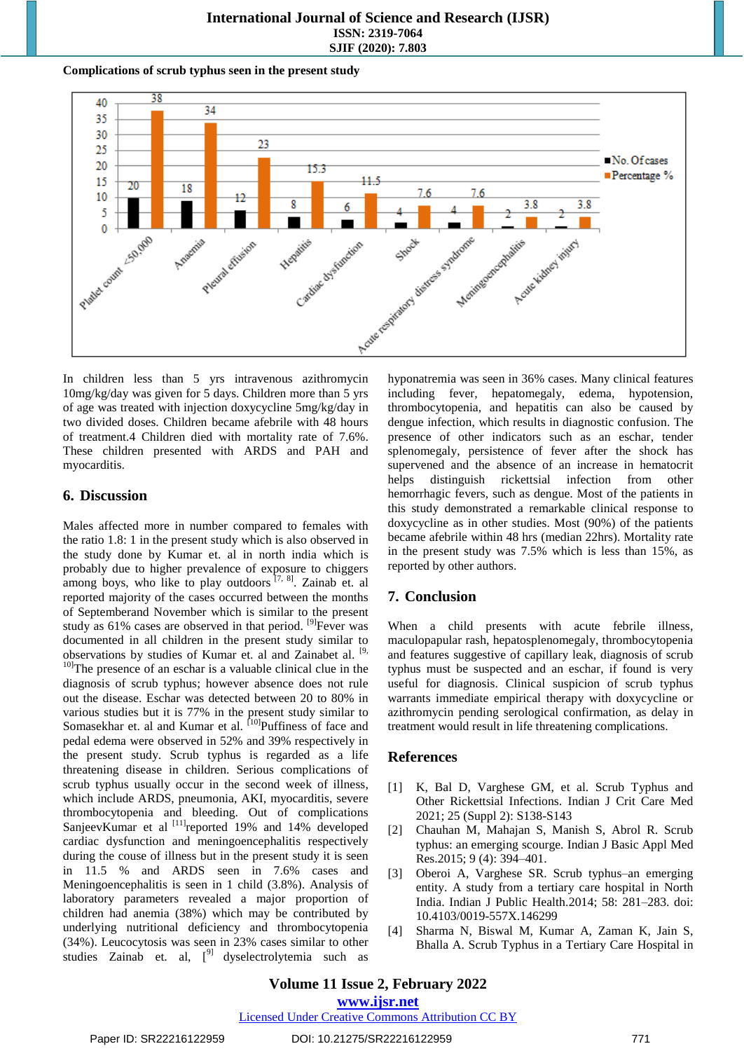#### **International Journal of Science and Research (IJSR) ISSN: 2319-7064 SJIF (2020): 7.803**

#### **Complications of scrub typhus seen in the present study**



In children less than 5 yrs intravenous azithromycin 10mg/kg/day was given for 5 days. Children more than 5 yrs of age was treated with injection doxycycline 5mg/kg/day in two divided doses. Children became afebrile with 48 hours of treatment.4 Children died with mortality rate of 7.6%. These children presented with ARDS and PAH and myocarditis.

# **6. Discussion**

Males affected more in number compared to females with the ratio 1.8: 1 in the present study which is also observed in the study done by Kumar et. al in north india which is probably due to higher prevalence of exposure to chiggers among boys, who like to play outdoors  $[7, 8]$ . Zainab et. al reported majority of the cases occurred between the months of Septemberand November which is similar to the present study as  $61\%$  cases are observed in that period. <sup>[9]</sup> Fever was documented in all children in the present study similar to observations by studies of Kumar et. al and Zainabet al. <sup>[9,</sup> <sup>10]</sup>The presence of an eschar is a valuable clinical clue in the diagnosis of scrub typhus; however absence does not rule out the disease. Eschar was detected between 20 to 80% in various studies but it is 77% in the present study similar to Somasekhar et. al and Kumar et al. <sup>[10]</sup>Puffiness of face and pedal edema were observed in 52% and 39% respectively in the present study. Scrub typhus is regarded as a life threatening disease in children. Serious complications of scrub typhus usually occur in the second week of illness, which include ARDS, pneumonia, AKI, myocarditis, severe thrombocytopenia and bleeding. Out of complications SanjeevKumar et al <sup>[11]</sup>reported 19% and 14% developed cardiac dysfunction and meningoencephalitis respectively during the couse of illness but in the present study it is seen in 11.5 % and ARDS seen in 7.6% cases and Meningoencephalitis is seen in 1 child (3.8%). Analysis of laboratory parameters revealed a major proportion of children had anemia (38%) which may be contributed by underlying nutritional deficiency and thrombocytopenia (34%). Leucocytosis was seen in 23% cases similar to other studies Zainab et. al,  $[9]$  dyselectrolytemia such as hyponatremia was seen in 36% cases. Many clinical features including fever, hepatomegaly, edema, hypotension, thrombocytopenia, and hepatitis can also be caused by dengue infection, which results in diagnostic confusion. The presence of other indicators such as an eschar, tender splenomegaly, persistence of fever after the shock has supervened and the absence of an increase in hematocrit helps distinguish rickettsial infection from other hemorrhagic fevers, such as dengue. Most of the patients in this study demonstrated a remarkable clinical response to doxycycline as in other studies. Most (90%) of the patients became afebrile within 48 hrs (median 22hrs). Mortality rate in the present study was 7.5% which is less than 15%, as reported by other authors.

# **7. Conclusion**

When a child presents with acute febrile illness, maculopapular rash, hepatosplenomegaly, thrombocytopenia and features suggestive of capillary leak, diagnosis of scrub typhus must be suspected and an eschar, if found is very useful for diagnosis. Clinical suspicion of scrub typhus warrants immediate empirical therapy with doxycycline or azithromycin pending serological confirmation, as delay in treatment would result in life threatening complications.

# **References**

- [1] K, Bal D, Varghese GM, et al. Scrub Typhus and Other Rickettsial Infections. Indian J Crit Care Med 2021; 25 (Suppl 2): S138-S143
- [2] Chauhan M, Mahajan S, Manish S, Abrol R. Scrub typhus: an emerging scourge. Indian J Basic Appl Med Res.2015; 9 (4): 394–401.
- [3] Oberoi A, Varghese SR. Scrub typhus–an emerging entity. A study from a tertiary care hospital in North India. Indian J Public Health.2014; 58: 281–283. doi: 10.4103/0019-557X.146299
- [4] Sharma N, Biswal M, Kumar A, Zaman K, Jain S, Bhalla A. Scrub Typhus in a Tertiary Care Hospital in

**www.ijsr.net**

Licensed Under Creative Commons Attribution CC BY

#### Paper ID: SR22216122959 DOI: 10.21275/SR22216122959 771